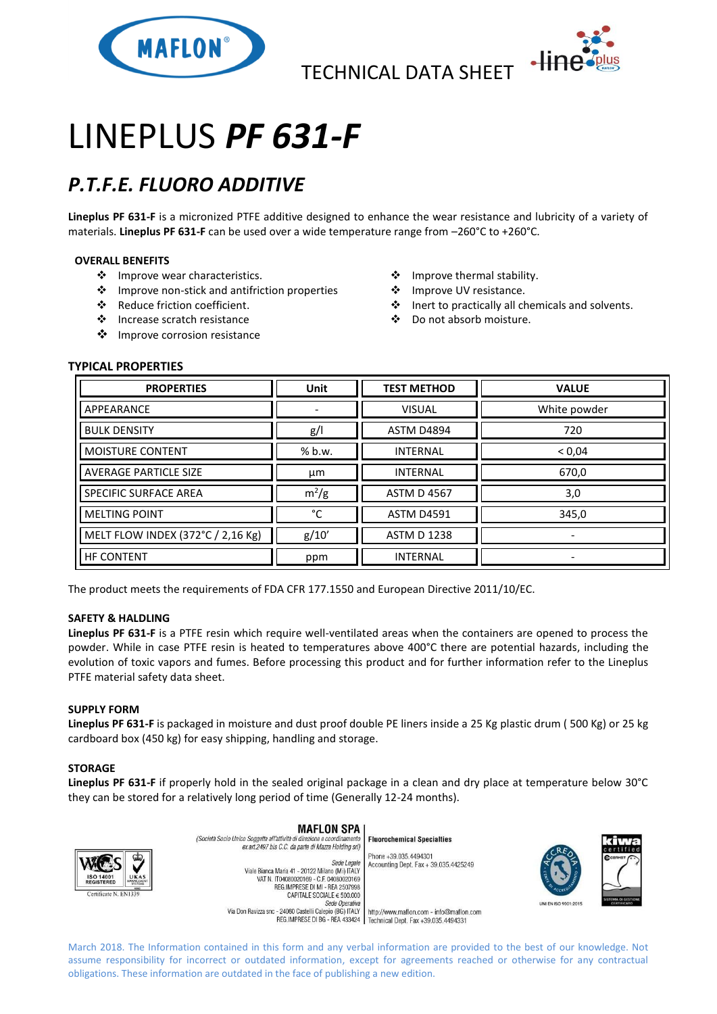

TECHNICAL DATA SHEET



# LINEPLUS *PF 631-F*

## *P.T.F.E. FLUORO ADDITIVE*

**Lineplus PF 631-F** is a micronized PTFE additive designed to enhance the wear resistance and lubricity of a variety of materials. **Lineplus PF 631-F** can be used over a wide temperature range from –260°C to +260°C.

### **OVERALL BENEFITS**

- ❖ Improve wear characteristics.
- ❖ Improve non-stick and antifriction properties
- ◆ Reduce friction coefficient.
- ❖ Increase scratch resistance
- ❖ Improve corrosion resistance
- ❖ Improve thermal stability.
- ❖ Improve UV resistance.
- ❖ Inert to practically all chemicals and solvents.
- Do not absorb moisture.

### **TYPICAL PROPERTIES**

| <b>PROPERTIES</b>                 | <b>Unit</b> | <b>TEST METHOD</b> | <b>VALUE</b>             |
|-----------------------------------|-------------|--------------------|--------------------------|
| APPEARANCE                        | ٠           | <b>VISUAL</b>      | White powder             |
| <b>BULK DENSITY</b>               | g/          | ASTM D4894         | 720                      |
| <b>MOISTURE CONTENT</b>           | % b.w.      | <b>INTERNAL</b>    | < 0.04                   |
| <b>AVERAGE PARTICLE SIZE</b>      | μm          | <b>INTERNAL</b>    | 670,0                    |
| SPECIFIC SURFACE AREA             | $m^2/g$     | <b>ASTM D 4567</b> | 3,0                      |
| <b>MELTING POINT</b>              | °C          | <b>ASTM D4591</b>  | 345,0                    |
| MELT FLOW INDEX (372°C / 2,16 Kg) | g/10'       | <b>ASTM D 1238</b> | $\overline{\phantom{a}}$ |
| <b>HF CONTENT</b>                 | ppm         | <b>INTERNAL</b>    |                          |

The product meets the requirements of FDA CFR 177.1550 and European Directive 2011/10/EC.

### **SAFETY & HALDLING**

**Lineplus PF 631-F** is a PTFE resin which require well-ventilated areas when the containers are opened to process the powder. While in case PTFE resin is heated to temperatures above 400°C there are potential hazards, including the evolution of toxic vapors and fumes. Before processing this product and for further information refer to the Lineplus PTFE material safety data sheet.

### **SUPPLY FORM**

**Lineplus PF 631-F** is packaged in moisture and dust proof double PE liners inside a 25 Kg plastic drum ( 500 Kg) or 25 kg cardboard box (450 kg) for easy shipping, handling and storage.

### **STORAGE**

**Lineplus PF 631-F** if properly hold in the sealed original package in a clean and dry place at temperature below 30°C they can be stored for a relatively long period of time (Generally 12-24 months).



March 2018. The Information contained in this form and any verbal information are provided to the best of our knowledge. Not assume responsibility for incorrect or outdated information, except for agreements reached or otherwise for any contractual obligations. These information are outdated in the face of publishing a new edition.